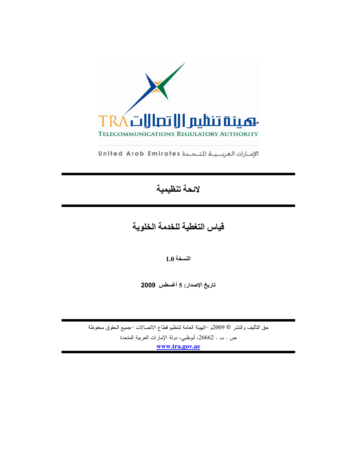

الإمارات العربية للتحدة United Arab Emirates

# لائحة تنظيمية

قياس التغطية للخدمة الخلوية

النسخة 1.0

تاريخ الإصدار: 5 أغسطس 2009

حق النَّاليف والنشر © 2009م <sup>ــ</sup>الهيئة العامة لنتظيم قطاع الاتصالات −جميع الحقوق محفوظة ص . ب . 26662، أبوظبي، دولة الإمارات العربية المتحدة www.tra.gov.ae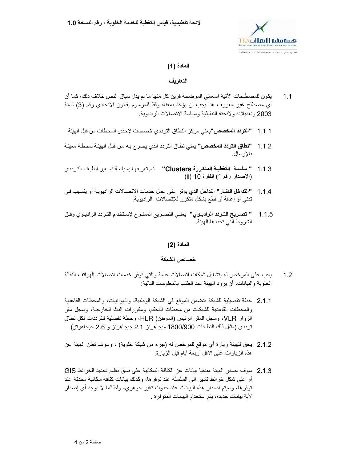

## المادة (1)

## التعار بف

- يكون للمصطلحات الآتية المعاني الموضحة قرين كل منها ما لم يدل سياق النص خلاف ذلك، كما أن  $1.1$ أي مصطلح غير معروف هنا يجب أن يؤخذ بمعناه وفقًا للمرسوم بقانون الاتحادي رقم (3) لسنة 2003 وتعديلاته ولائحته التنفيذية وسياسة الاتصالات الراديوية:
- **"التردد المخصص"**يعني مركز النطاق الترددي خصصت لإحدى المحطات من قبل الهيئة .  $1.1.1$
- **"نطاق التردد المخصص"** يعني نطاق التردد الذي يصر ح بـه من قبل الهيئـة لمحطـة معينـة  $1.1.2$ بالإرسال.
- 1.1.3 " سلسة التغطية المتكررة Clusters" تم تعريفها بسياسة تسعير الطيف الترددي (الإصدار رقم 1) الفقرة 10 (ii)
- **"التداخل الضار"** التداخل الذي يؤثر على عمل خدمات الاتصــالات الر ادبويـة أو يتسبب فـي  $1.1.4$ تدني أو إعاقة أو قطع بشكل متكرر للإتصالات الراديوية.
- **" تصريح التردد الراديوي"** يعني التصريح الممنوح لإستخدام التردد الراديوي وفـق  $1.1.5$ الشروط التي تحددها الهيئة

## المادة (2)

## خصائص الشبكة

- يجب على المرخص له بتشغيل شبكات اتصالات عامة والتي توفر خدمات اتصالات الهواتف النقالة  $1.2$ الخلوية والبيانات، أن يزود الهيئة عند الطلب بالمعلومات التالية:
- 2.1.1 خطة تفصيلية للشبكة تتضمن الموقع في الشبكة الوطنية، والهوائيات، والمحطات القاعدية والمحطات القاعدية للشبكات من محطات التحكم، ومكررات البث الخارجية، وسجل مقر الزوار VLR، وسجل المقر الرئيس (الموطن) HLR، وخطة تفصلية للترددات لكل نطاق ترددي (مثال نلك النطاقات 1800/900 ميجاهرتز 2.1 جيجاهرتز و 2.6 جيجاهرتز)
- 2.1.2٪ يحق للهيئة زيارة أي موقع للمرخص له (جزء من شبكة خلوية) ، وسوف نعلن الهيئة عن هذه الزيارات على الأقل أربعة أيام قبل الزيارة.
- 2.1.3 سوف تصدر الهيئة مبدئيا بيانات عن الكثافة السكانية على نسق نظام تحديد الخر ائط GIS أو على شكل خرائط تشير الى السلسلة عند توفرها، وكذلك بيانات كثافة سكانية محدثة عند توفرها، وسيتم اصدار هذه البيانات عند حدوث تغير جوهري، ولطالما لا يوجد أي إصدار لأية بيانات جديدة، يتم استخدام البيانات المتوفر ة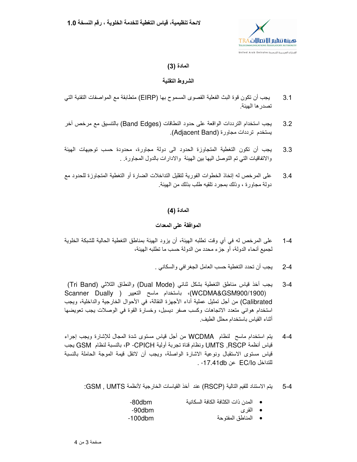

## المادة (3)

## الشر وط التقنبة

- يجب أن تكون قوة البث الفعلية القصوى المسموح بها (EIRP) متطابقة مع المواصفات التقنية التي  $3<sub>1</sub>$ تصدر ها الهيئة.
- يجب استخدام الترددات الواقعة على حدود النطاقات (Band Edges) بالتنسيق مع مرخص أخر  $3.2$ يستخدم ترددات مجاورة (Adjacent Band).
- يجب أن تكون التغطية المتجاوزة الحدود الى دولة مجاورة، محدودة حسب توجيهات الهيئة  $3.3$ والاتفاقيات التـي تم التوصل اليـها بين الـهيئة والادارات بالدول المـجاورة . .
- على المرخص له إنخاذ الخطوات الفورية لتقليل التداخلات الضارة أو التغطية المتجاوزة للحدود مع 34 دولة مجاور ة ، و ذلك بمجر د تلقبه طلب بذلك من الهيئة ِ

المادة (4)

## الموافقة على المعدات

- على المرخص له في أي وقت تطلبه الهيئة، أن يزود الهيئة بمناطق التغطية الحالية للشبكة الخلوية  $1 - 4$ لجميع أنحاء الدولة، أو جزء محدد من الدولة حسب ما تطلبه الهيئة،
	- يجب أن تحدد التغطية حسب العامل الجغرافي والسكاني .  $2 - 4$
- يجب أخذ قياس مناطق التغطية بشكل ثنائي (Dual Mode) والنطاق الثلاثي (Tri Band)  $3 - 4$ (WCDMA&GSM900/1900)، باستخدام ماسح التعيير ( Scanner Dually Calibrated) من أجل تمثيل عملية أداء الأجهزة النقالة، في الأحوال الخارجية والداخلية، ويجب استخدام هوائي متعدد الاتجاهات وكسب صفر ديسبل، وخسارة القوة في الوصلات بجب تعويضها أثناء القياس باستخدام محلل الطيف
- يتم استخدام ماسح لنظام WCDMA من أجل قياس مستوى شدة المحال للإشارة ويجب إجراء  $4 - 4$ قياس أنظمة UMTS ,RSCP ونظام قناة تجربة أولية P -CPICH، بالنسبة لنظام GSM يجب قياس مستوى الاستقبال ونوعية الاشارة الواصلة، ويجب أن لاتقل قيمة الموجة الحاملة بالنسبة للتداخل EC/Io عن 17.41db- .
	- يتم الاستناد للقيم التالية (RSCP) عند أخذ القياسات الخارجية لأنظمة GSM , UMTS:  $5 - 4$ 
		- المدن ذات الكثافة الكافة السكانبة  $-80$ dbm
		- -90dbm • القرى
			- $-100$ dbm • المناطق المفتوحة